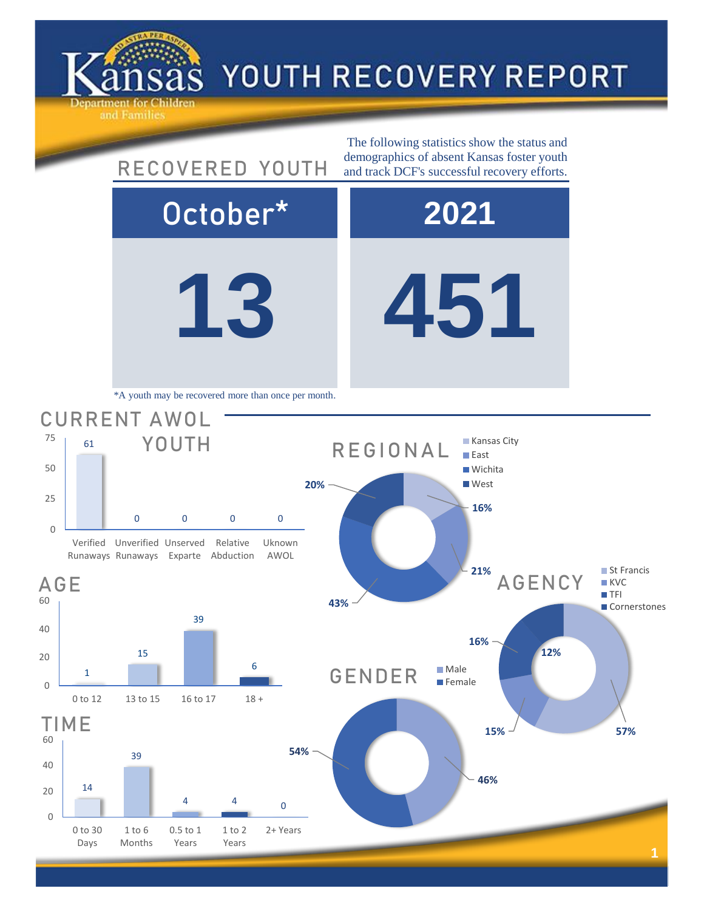

14

0 to 30 Days

1 to 6 Months

0

20

40

60

0

20

40

60

0

25

50

75

4 4

1 to 2 Years

0.5 to 1 Years

0

2+ Years

## YOUTH RECOVERY REPORT

**13 451** October\* **2021** 39 TIME **46% 54%** GENDER Male **Female 15% 57% 16% 12%** AGENCY ■ St Francis **KVC TFI Cornerstones** 1 15 39 6 0 to 12 13 to 15 16 to 17 18 + AGE 61 0 0 0 0 Verified Unverified Unserved Runaways Runaways Exparte Abduction Relative Uknown AWOL CURRENT AWOL YOUTH The following statistics show the status and RECOVERED YOUTH demographics of absent Kansas foster youth and track DCF's successful recovery efforts. \*A youth may be recovered more than once per month. **16% 21% 43% 20%** REGIONAL **Kansas City East Wichita West**